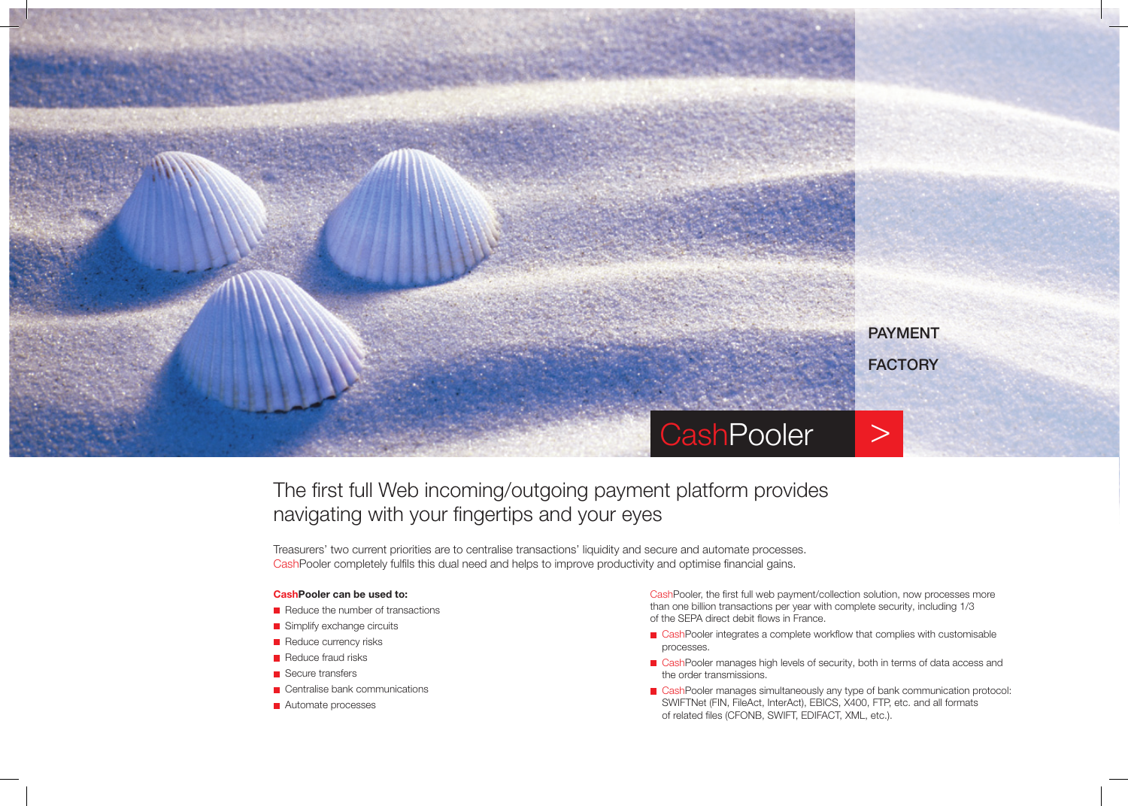

# The first full Web incoming/outgoing payment platform provides navigating with your fingertips and your eyes

Treasurers' two current priorities are to centralise transactions' liquidity and secure and automate processes. CashPooler completely fulfils this dual need and helps to improve productivity and optimise financial gains.

#### CashPooler can be used to:

- $\blacksquare$  Reduce the number of transactions
- Simplify exchange circuits
- Reduce currency risks
- $\blacksquare$  Reduce fraud risks
- Secure transfers
- Centralise bank communications
- **Automate processes**

CashPooler, the first full web payment/collection solution, now processes more than one billion transactions per year with complete security, including 1/3 of the SEPA direct debit flows in France.

- GashPooler integrates a complete workflow that complies with customisable processes.
- CashPooler manages high levels of security, both in terms of data access and the order transmissions.
- CashPooler manages simultaneously any type of bank communication protocol: SWIFTNet (FIN, FileAct, InterAct), EBICS, X400, FTP, etc. and all formats of related files (CFONB, SWIFT, EDIFACT, XML, etc.).